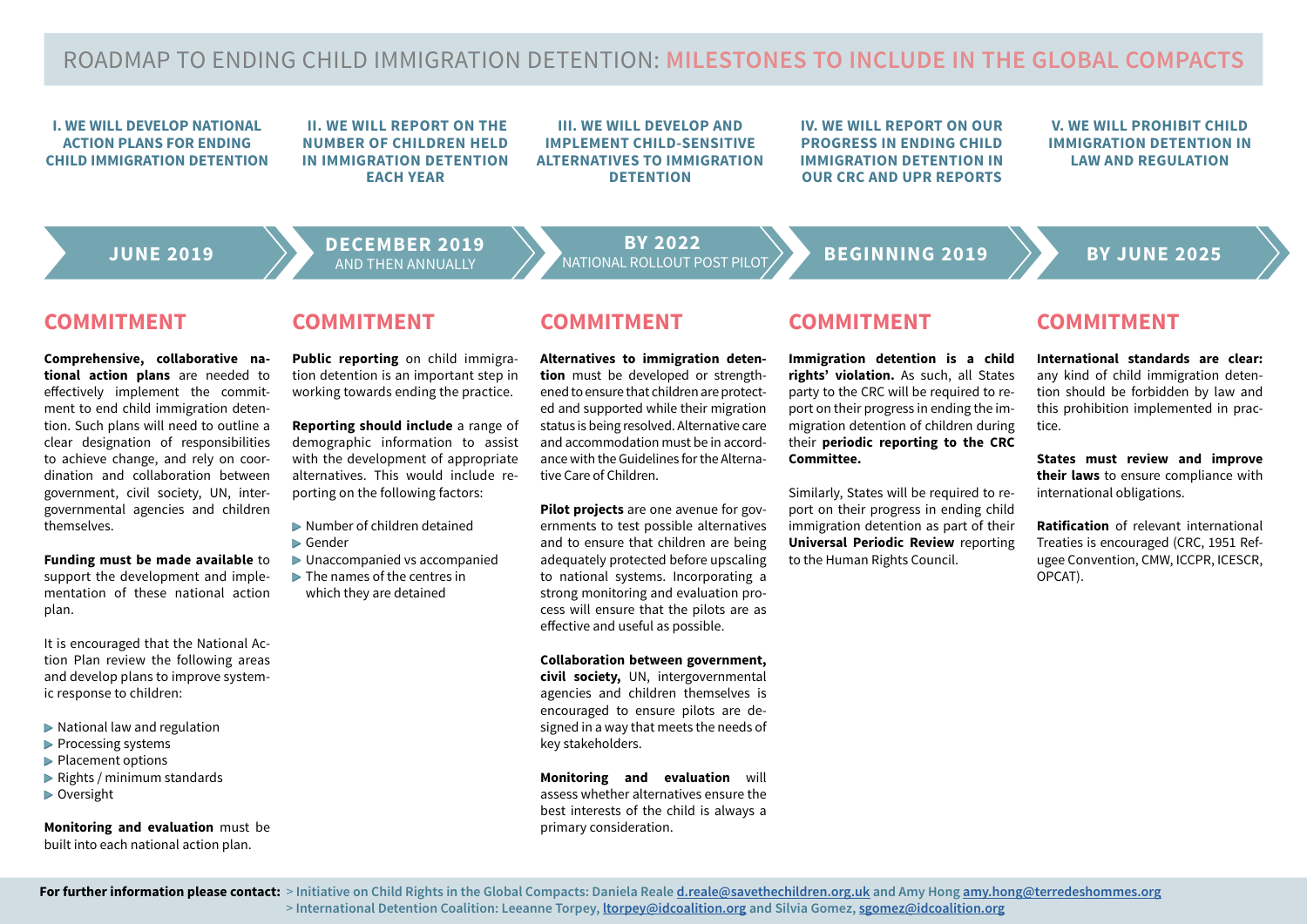# ROADMAP TO ENDING CHILD IMMIGRATION DETENTION: **MILESTONES TO INCLUDE IN THE GLOBAL COMPACTS**

**I. WE WILL DEVELOP NATIONAL ACTION PLANS FOR ENDING CHILD IMMIGRATION DETENTION**

 **II. WE WILL REPORT ON THE NUMBER OF CHILDREN HELD IN IMMIGRATION DETENTION EACH YEAR** 

**III. WE WILL DEVELOP AND IMPLEMENT CHILD-SENSITIVE ALTERNATIVES TO IMMIGRATION DETENTION**

**IV. WE WILL REPORT ON OUR PROGRESS IN ENDING CHILD IMMIGRATION DETENTION IN OUR CRC AND UPR REPORTS**

**V. WE WILL PROHIBIT CHILD IMMIGRATION DETENTION IN LAW AND REGULATION**

**JUNE 2019 DECEMBER 2019** 

**BEGINNING 2019** BY JUNE 2025 **BY 2022**

### **COMMITMENT**

**Comprehensive, collaborative national action plans** are needed to effectively implement the commitment to end child immigration detention. Such plans will need to outline a clear designation of responsibilities to achieve change, and rely on coordination and collaboration between government, civil society, UN, intergovernmental agencies and children themselves.

### **Funding must be made available** to support the development and imple-

mentation of these national action plan.

It is encouraged that the National Action Plan review the following areas and develop plans to improve systemic response to children:

- $\triangleright$  National law and regulation
- ▶ Processing systems
- ▶ Placement options
- ▶ Rights / minimum standards
- ▶ Oversight

**Monitoring and evaluation** must be built into each national action plan.

### **COMMITMENT**

**Public reporting** on child immigration detention is an important step in working towards ending the practice.

**Reporting should include** a range of demographic information to assist with the development of appropriate alternatives. This would include reporting on the following factors:

- $\blacktriangleright$  Number of children detained ▶ Gender
- ▶ Unaccompanied vs accompanied
- $\triangleright$  The names of the centres in which they are detained

### **COMMITMENT**

**Alternatives to immigration detention** must be developed or strengthened to ensure that children are protected and supported while their migration status is being resolved. Alternative care and accommodation must be in accordance with the Guidelines for the Alternative Care of Children.

**Pilot projects** are one avenue for governments to test possible alternatives and to ensure that children are being adequately protected before upscaling to national systems. Incorporating a strong monitoring and evaluation process will ensure that the pilots are as effective and useful as possible.

### **Collaboration between government,**

**civil society,** UN, intergovernmental agencies and children themselves is encouraged to ensure pilots are designed in a way that meets the needs of key stakeholders.

**Monitoring and evaluation** will assess whether alternatives ensure the best interests of the child is always a primary consideration.

### **COMMITMENT**

**Immigration detention is a child rights' violation.** As such, all States party to the CRC will be required to report on their progress in ending the immigration detention of children during their **periodic reporting to the CRC Committee.** 

Similarly, States will be required to report on their progress in ending child immigration detention as part of their **Universal Periodic Review** reporting to the Human Rights Council.

### **COMMITMENT**

**International standards are clear:** any kind of child immigration detention should be forbidden by law and this prohibition implemented in practice.

**States must review and improve their laws** to ensure compliance with international obligations.

**Ratification** of relevant international Treaties is encouraged (CRC, 1951 Refugee Convention, CMW, ICCPR, ICESCR, OPCAT).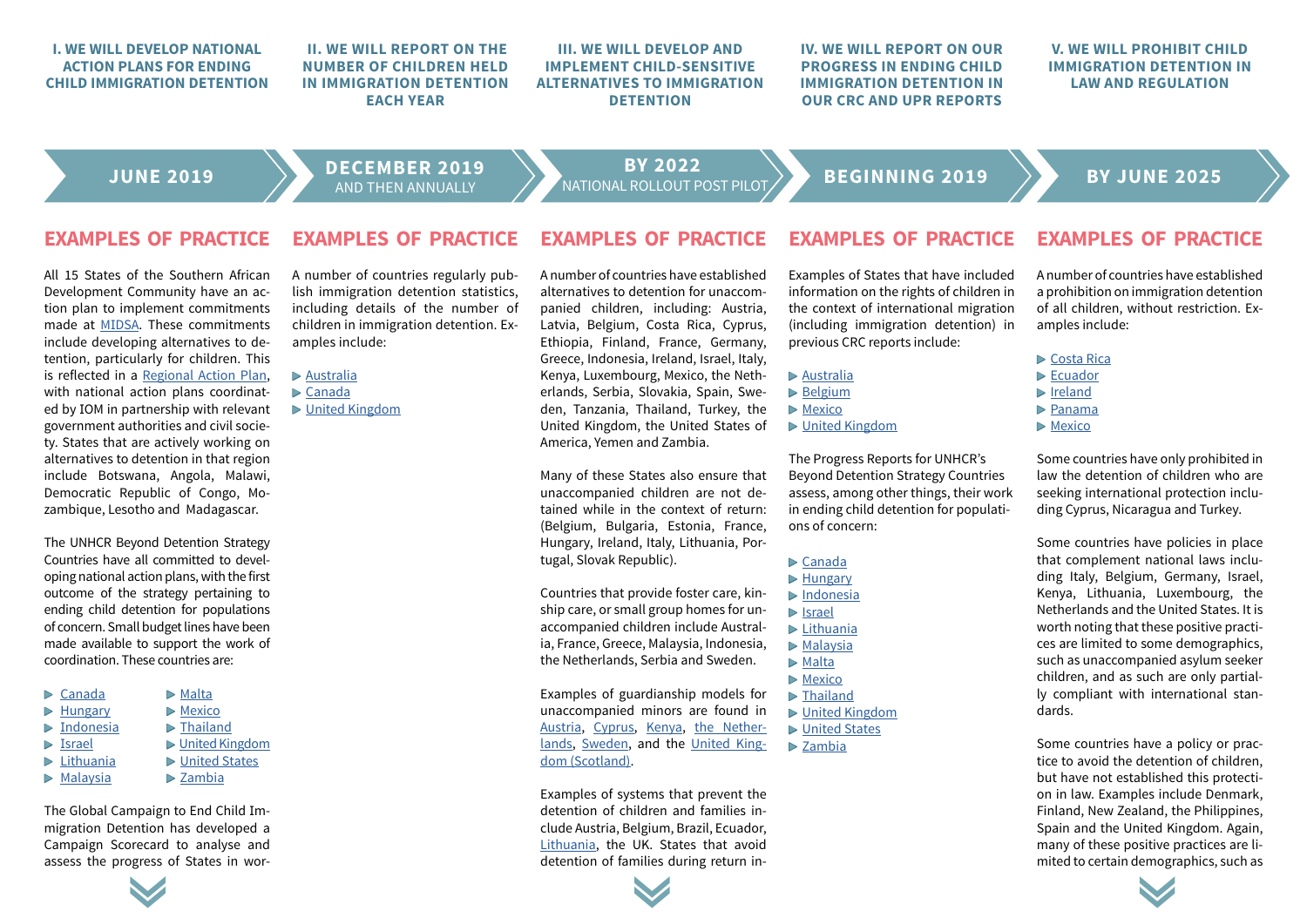### **I. WE WILL DEVELOP NATIONAL ACTION PLANS FOR ENDING CHILD IMMIGRATION DETENTION II. WE WILL REPORT ON THE NUMBER OF CHILDREN HELD IN IMMIGRATION DETENTION EACH YEAR III. WE WILL DEVELOP AND IMPLEMENT CHILD-SENSITIVE ALTERNATIVES TO IMMIGRATION DETENTION**

**IV. WE WILL REPORT ON OUR PROGRESS IN ENDING CHILD IMMIGRATION DETENTION IN OUR CRC AND UPR REPORTS**

### **V. WE WILL PROHIBIT CHILD IMMIGRATION DETENTION IN LAW AND REGULATION**

**JUNE 2019 DECEMBER 2019** 

**BEGINNING 2019** BY JUNE 2025 **BY 2022**

### **EXAMPLES OF PRACTICE EXAMPLES OF PRACTICE EXAMPLES OF PRACTICE EXAMPLES OF PRACTICE EXAMPLES OF PRACTICE**

All 15 States of the Southern African Development Community have an action plan to implement commitments made at MIDSA. These commitments include developing alternatives to detention, particularly for children. This is reflected in a Regional Action Plan, with national action plans coordinated by IOM in partnership with relevant government authorities and civil society. States that are actively working on alternatives to detention in that region include Botswana, Angola, Malawi, Democratic Republic of Congo, Mozambique, Lesotho and Madagascar.

The UNHCR Beyond Detention Strategy Countries have all committed to developing national action plans, with the first outcome of the strategy pertaining to ending child detention for populations of concern. Small budget lines have been made available to support the work of coordination. These countries are:

| $\triangleright$ Canada    | $\triangleright$ Malta    |
|----------------------------|---------------------------|
| $\triangleright$ Hungary   | $\triangleright$ Mexico   |
| $\triangleright$ Indonesia | $\triangleright$ Thailand |
| $\triangleright$ Israel    | ▶ United Kingdom          |
| $\triangleright$ Lithuania | ▶ United States           |
| $\triangleright$ Malaysia  | $\triangleright$ Zambia   |
|                            |                           |

The Global Campaign to End Child Immigration Detention has developed a Campaign Scorecard to analyse and assess the progress of States in wor-



A number of countries regularly publish immigration detention statistics, including details of the number of children in immigration detention. Examples include:

### ▶ Australia

- ▶ Canada
- ▶ United Kingdom

A number of countries have established alternatives to detention for unaccompanied children, including: Austria, Latvia, Belgium, Costa Rica, Cyprus, Ethiopia, Finland, France, Germany, Greece, Indonesia, Ireland, Israel, Italy, Kenya, Luxembourg, Mexico, the Netherlands, Serbia, Slovakia, Spain, Sweden, Tanzania, Thailand, Turkey, the United Kingdom, the United States of America, Yemen and Zambia.

Many of these States also ensure that unaccompanied children are not detained while in the context of return: (Belgium, Bulgaria, Estonia, France, Hungary, Ireland, Italy, Lithuania, Portugal, Slovak Republic).

Countries that provide foster care, kinship care, or small group homes for unaccompanied children include Australia, France, Greece, Malaysia, Indonesia, the Netherlands, Serbia and Sweden.

Examples of guardianship models for unaccompanied minors are found in Austria, Cyprus, Kenya, the Netherlands, Sweden, and the United Kingdom (Scotland).

Examples of systems that prevent the detention of children and families include Austria, Belgium, Brazil, Ecuador, Lithuania, the UK. States that avoid detention of families during return in-

Examples of States that have included information on the rights of children in the context of international migration (including immigration detention) in previous CRC reports include:

- ▶ Australia
- ▶ Belgium
- ▶ Mexico
- ▶ United Kingdom

The Progress Reports for UNHCR's Beyond Detention Strategy Countries assess, among other things, their work in ending child detention for populations of concern:

- ▶ Canada
- ▶ Hungary
- ▶ Indonesia
- ▶ Israel
- ▶ Lithuania
- ▶ Malaysia
- ▶ Malta
- ▶ Mexico
- ▶ Thailand
- ▶ United Kingdom
- ▶ United States
- ▶ Zambia

A number of countries have established a prohibition on immigration detention of all children, without restriction. Examples include:

- ▶ Costa Rica
- ▶ Ecuador
- ▶ Ireland
- ▶ Panama
- ▶ Mexico

Some countries have only prohibited in law the detention of children who are seeking international protection including Cyprus, Nicaragua and Turkey.

Some countries have policies in place that complement national laws including Italy, Belgium, Germany, Israel, Kenya, Lithuania, Luxembourg, the Netherlands and the United States. It is worth noting that these positive practices are limited to some demographics, such as unaccompanied asylum seeker children, and as such are only partially compliant with international standards.

Some countries have a policy or practice to avoid the detention of children, but have not established this protection in law. Examples include Denmark, Finland, New Zealand, the Philippines, Spain and the United Kingdom. Again, many of these positive practices are limited to certain demographics, such as